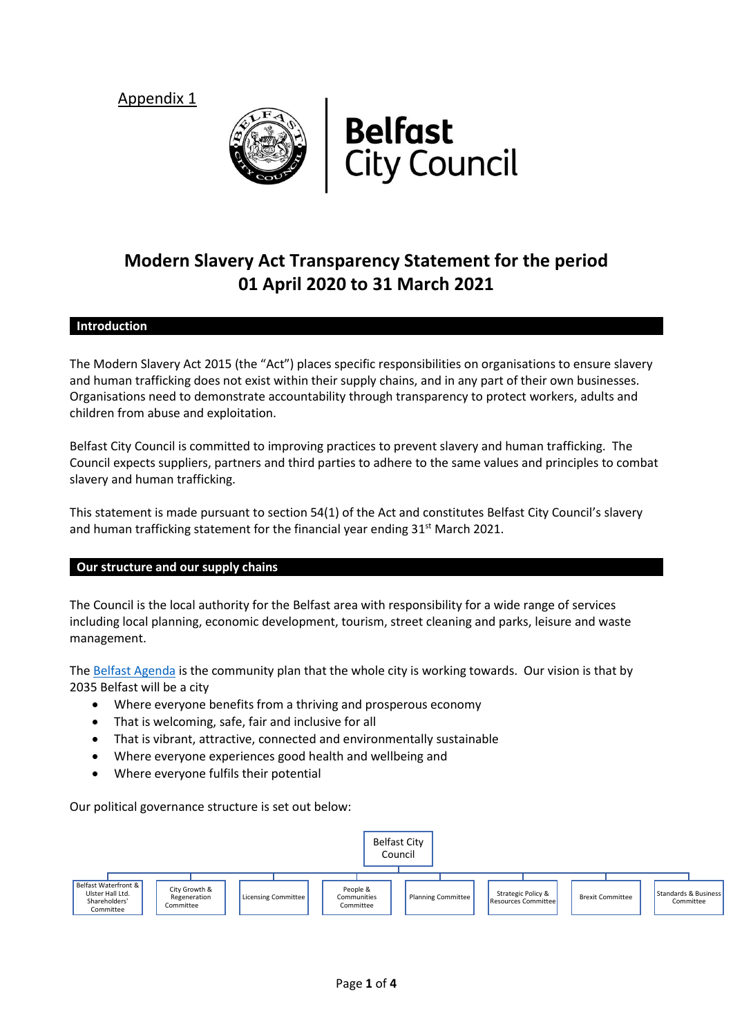Appendix 1





# **Modern Slavery Act Transparency Statement for the period 01 April 2020 to 31 March 2021**

# **Introduction**

The Modern Slavery Act 2015 (the "Act") places specific responsibilities on organisations to ensure slavery and human trafficking does not exist within their supply chains, and in any part of their own businesses. Organisations need to demonstrate accountability through transparency to protect workers, adults and children from abuse and exploitation.

Belfast City Council is committed to improving practices to prevent slavery and human trafficking. The Council expects suppliers, partners and third parties to adhere to the same values and principles to combat slavery and human trafficking.

This statement is made pursuant to section 54(1) of the Act and constitutes Belfast City Council's slavery and human trafficking statement for the financial year ending  $31<sup>st</sup>$  March 2021.

# **Our structure and our supply chains**

The Council is the local authority for the Belfast area with responsibility for a wide range of services including local planning, economic development, tourism, street cleaning and parks, leisure and waste management.

The [Belfast Agenda](http://www.belfastcity.gov.uk/council/Communityplanning/BelfastAgenda.aspx) is the community plan that the whole city is working towards. Our vision is that by 2035 Belfast will be a city

- Where everyone benefits from a thriving and prosperous economy
- That is welcoming, safe, fair and inclusive for all
- That is vibrant, attractive, connected and environmentally sustainable
- Where everyone experiences good health and wellbeing and
- Where everyone fulfils their potential

Our political governance structure is set out below:

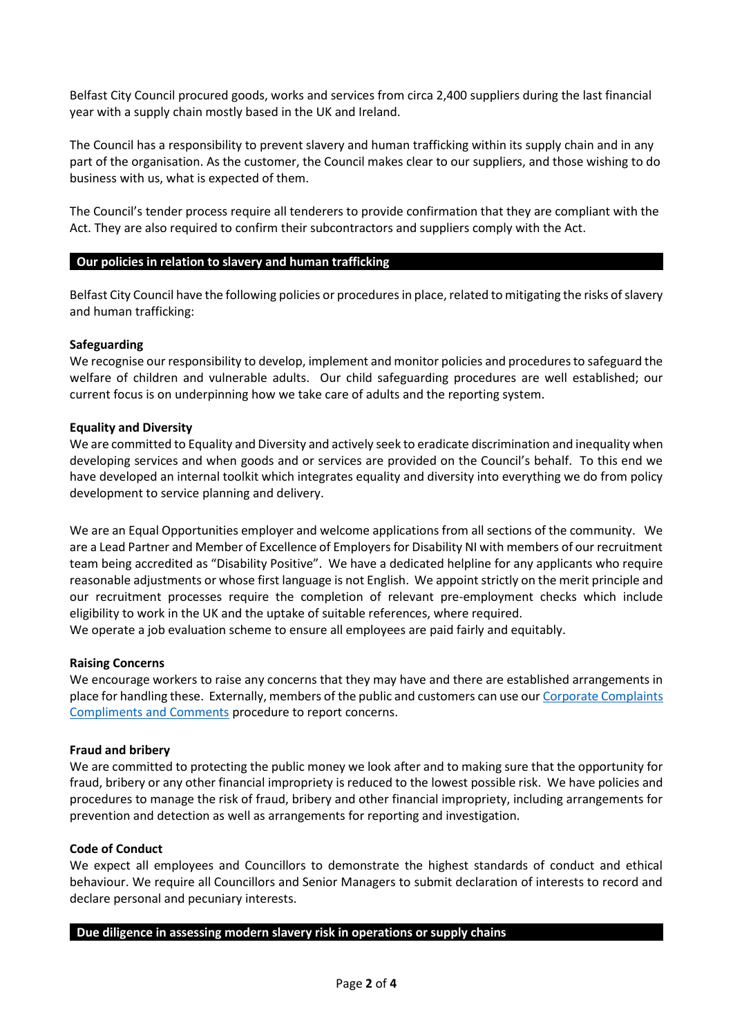Belfast City Council procured goods, works and services from circa 2,400 suppliers during the last financial year with a supply chain mostly based in the UK and Ireland.

The Council has a responsibility to prevent slavery and human trafficking within its supply chain and in any part of the organisation. As the customer, the Council makes clear to our suppliers, and those wishing to do business with us, what is expected of them.

The Council's tender process require all tenderers to provide confirmation that they are compliant with the Act. They are also required to confirm their subcontractors and suppliers comply with the Act.

# **Our policies in relation to slavery and human trafficking**

Belfast City Council have the following policies or procedures in place, related to mitigating the risks of slavery and human trafficking:

# **Safeguarding**

We recognise our responsibility to develop, implement and monitor policies and procedures to safeguard the welfare of children and vulnerable adults. Our child safeguarding procedures are well established; our current focus is on underpinning how we take care of adults and the reporting system.

# **Equality and Diversity**

We are committed to Equality and Diversity and actively seek to eradicate discrimination and inequality when developing services and when goods and or services are provided on the Council's behalf. To this end we have developed an internal toolkit which integrates equality and diversity into everything we do from policy development to service planning and delivery.

We are an Equal Opportunities employer and welcome applications from all sections of the community. We are a Lead Partner and Member of Excellence of Employers for Disability NI with members of our recruitment team being accredited as "Disability Positive". We have a dedicated helpline for any applicants who require reasonable adjustments or whose first language is not English. We appoint strictly on the merit principle and our recruitment processes require the completion of relevant pre-employment checks which include eligibility to work in the UK and the uptake of suitable references, where required.

We operate a job evaluation scheme to ensure all employees are paid fairly and equitably.

#### **Raising Concerns**

We encourage workers to raise any concerns that they may have and there are established arrangements in place for handling these. Externally, members of the public and customers can use our Corporate Complaints [Compliments and Comments](http://www.belfastcity.gov.uk/contact/feedback.aspx) procedure to report concerns.

#### **Fraud and bribery**

We are committed to protecting the public money we look after and to making sure that the opportunity for fraud, bribery or any other financial impropriety is reduced to the lowest possible risk. We have policies and procedures to manage the risk of fraud, bribery and other financial impropriety, including arrangements for prevention and detection as well as arrangements for reporting and investigation.

#### **Code of Conduct**

We expect all employees and Councillors to demonstrate the highest standards of conduct and ethical behaviour. We require all Councillors and Senior Managers to submit declaration of interests to record and declare personal and pecuniary interests.

#### **Due diligence in assessing modern slavery risk in operations or supply chains**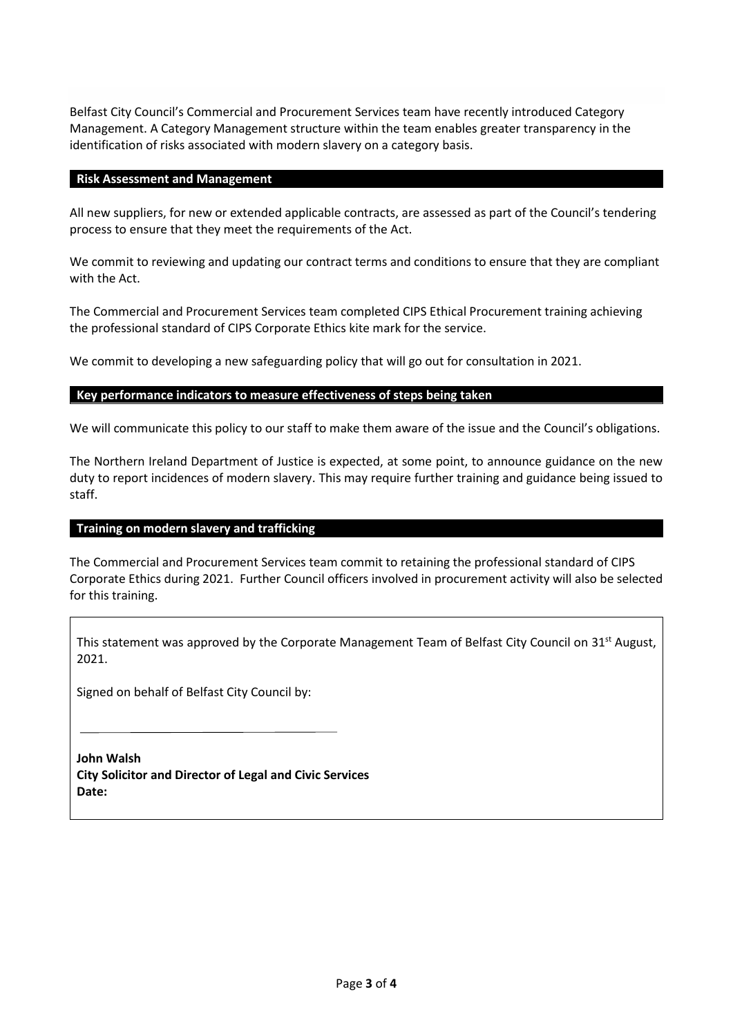Belfast City Council's Commercial and Procurement Services team have recently introduced Category Management. A Category Management structure within the team enables greater transparency in the identification of risks associated with modern slavery on a category basis.

# **Risk Assessment and Management**

All new suppliers, for new or extended applicable contracts, are assessed as part of the Council's tendering process to ensure that they meet the requirements of the Act.

We commit to reviewing and updating our contract terms and conditions to ensure that they are compliant with the Act.

The Commercial and Procurement Services team completed CIPS Ethical Procurement training achieving the professional standard of CIPS Corporate Ethics kite mark for the service.

We commit to developing a new safeguarding policy that will go out for consultation in 2021.

# **Key performance indicators to measure effectiveness of steps being taken**

We will communicate this policy to our staff to make them aware of the issue and the Council's obligations.

The Northern Ireland Department of Justice is expected, at some point, to announce guidance on the new duty to report incidences of modern slavery. This may require further training and guidance being issued to staff.

# **Training on modern slavery and trafficking**

The Commercial and Procurement Services team commit to retaining the professional standard of CIPS Corporate Ethics during 2021. Further Council officers involved in procurement activity will also be selected for this training.

This statement was approved by the Corporate Management Team of Belfast City Council on 31<sup>st</sup> August, 2021.

Signed on behalf of Belfast City Council by:

**John Walsh City Solicitor and Director of Legal and Civic Services Date:**